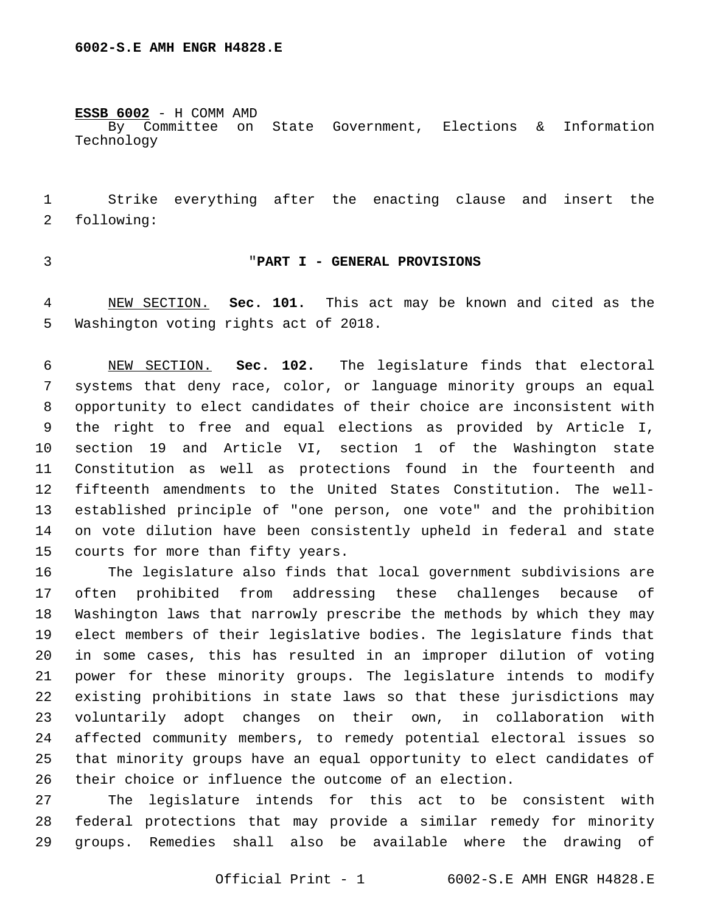**ESSB 6002** - H COMM AMD

By Committee on State Government, Elections & Information Technology

 Strike everything after the enacting clause and insert the 2 following:

### "**PART I - GENERAL PROVISIONS**

 NEW SECTION. **Sec. 101.** This act may be known and cited as the Washington voting rights act of 2018.

 NEW SECTION. **Sec. 102.** The legislature finds that electoral systems that deny race, color, or language minority groups an equal opportunity to elect candidates of their choice are inconsistent with the right to free and equal elections as provided by Article I, section 19 and Article VI, section 1 of the Washington state Constitution as well as protections found in the fourteenth and fifteenth amendments to the United States Constitution. The well- established principle of "one person, one vote" and the prohibition on vote dilution have been consistently upheld in federal and state courts for more than fifty years.

 The legislature also finds that local government subdivisions are often prohibited from addressing these challenges because of Washington laws that narrowly prescribe the methods by which they may elect members of their legislative bodies. The legislature finds that in some cases, this has resulted in an improper dilution of voting power for these minority groups. The legislature intends to modify existing prohibitions in state laws so that these jurisdictions may voluntarily adopt changes on their own, in collaboration with affected community members, to remedy potential electoral issues so that minority groups have an equal opportunity to elect candidates of their choice or influence the outcome of an election.

 The legislature intends for this act to be consistent with federal protections that may provide a similar remedy for minority groups. Remedies shall also be available where the drawing of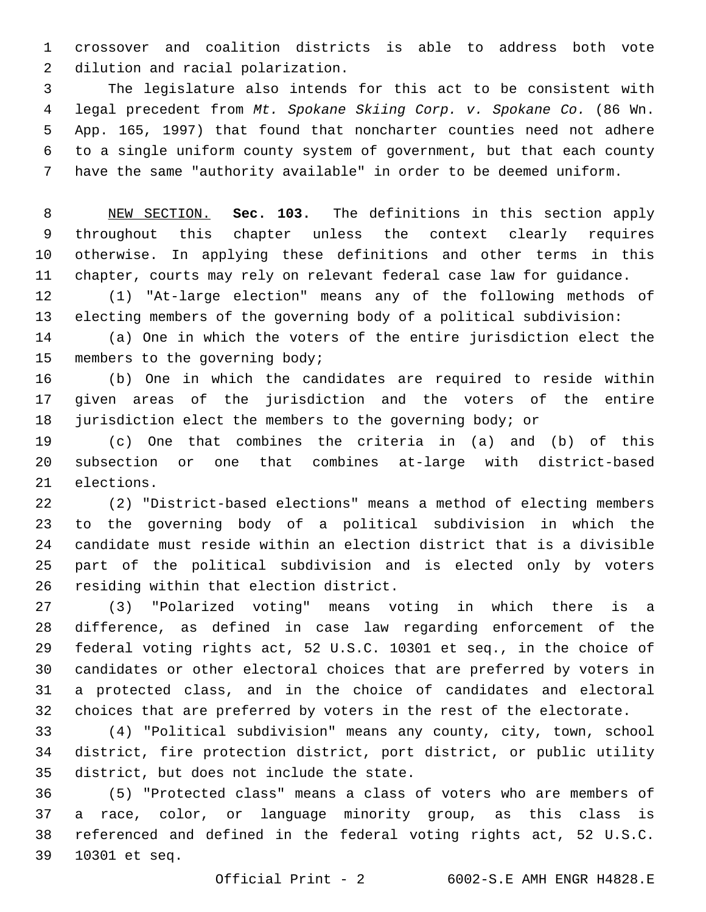crossover and coalition districts is able to address both vote 2 dilution and racial polarization.

 The legislature also intends for this act to be consistent with legal precedent from *Mt. Spokane Skiing Corp. v. Spokane Co.* (86 Wn. App. 165, 1997) that found that noncharter counties need not adhere to a single uniform county system of government, but that each county have the same "authority available" in order to be deemed uniform.

 NEW SECTION. **Sec. 103.** The definitions in this section apply throughout this chapter unless the context clearly requires otherwise. In applying these definitions and other terms in this chapter, courts may rely on relevant federal case law for guidance.

 (1) "At-large election" means any of the following methods of electing members of the governing body of a political subdivision:

 (a) One in which the voters of the entire jurisdiction elect the 15 members to the governing body;

 (b) One in which the candidates are required to reside within given areas of the jurisdiction and the voters of the entire jurisdiction elect the members to the governing body; or

 (c) One that combines the criteria in (a) and (b) of this subsection or one that combines at-large with district-based 21 elections.

 (2) "District-based elections" means a method of electing members to the governing body of a political subdivision in which the candidate must reside within an election district that is a divisible part of the political subdivision and is elected only by voters 26 residing within that election district.

 (3) "Polarized voting" means voting in which there is a difference, as defined in case law regarding enforcement of the federal voting rights act, 52 U.S.C. 10301 et seq., in the choice of candidates or other electoral choices that are preferred by voters in a protected class, and in the choice of candidates and electoral choices that are preferred by voters in the rest of the electorate.

 (4) "Political subdivision" means any county, city, town, school district, fire protection district, port district, or public utility 35 district, but does not include the state.

 (5) "Protected class" means a class of voters who are members of a race, color, or language minority group, as this class is referenced and defined in the federal voting rights act, 52 U.S.C. 10301 et seq.39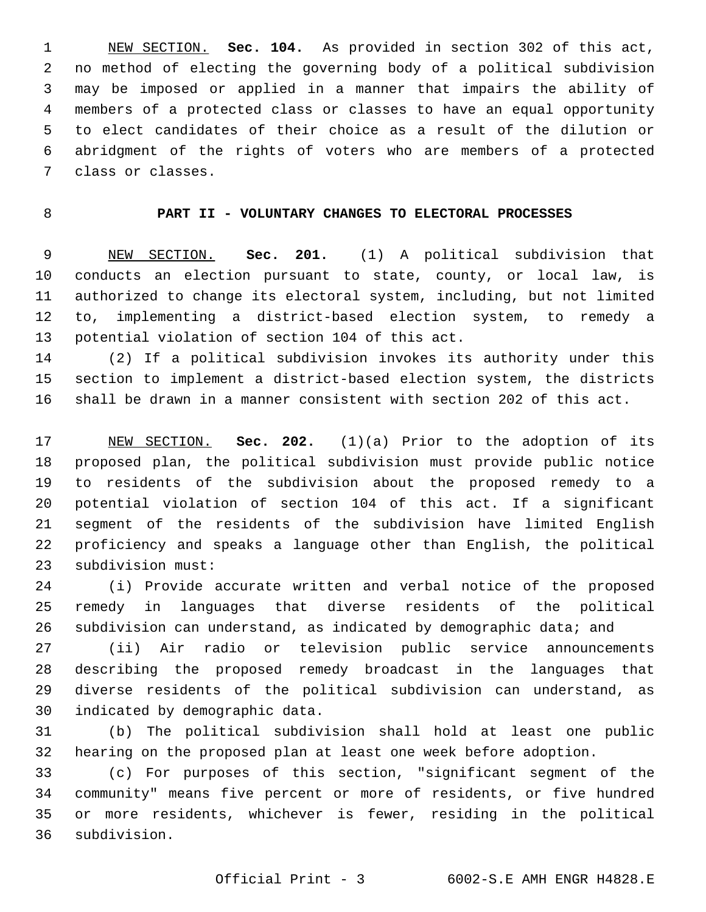NEW SECTION. **Sec. 104.** As provided in section 302 of this act, no method of electing the governing body of a political subdivision may be imposed or applied in a manner that impairs the ability of members of a protected class or classes to have an equal opportunity to elect candidates of their choice as a result of the dilution or abridgment of the rights of voters who are members of a protected class or classes.

### **PART II - VOLUNTARY CHANGES TO ELECTORAL PROCESSES**

 NEW SECTION. **Sec. 201.** (1) A political subdivision that conducts an election pursuant to state, county, or local law, is authorized to change its electoral system, including, but not limited to, implementing a district-based election system, to remedy a potential violation of section 104 of this act.

 (2) If a political subdivision invokes its authority under this section to implement a district-based election system, the districts shall be drawn in a manner consistent with section 202 of this act.

 NEW SECTION. **Sec. 202.** (1)(a) Prior to the adoption of its proposed plan, the political subdivision must provide public notice to residents of the subdivision about the proposed remedy to a potential violation of section 104 of this act. If a significant segment of the residents of the subdivision have limited English proficiency and speaks a language other than English, the political subdivision must:

 (i) Provide accurate written and verbal notice of the proposed remedy in languages that diverse residents of the political subdivision can understand, as indicated by demographic data; and

 (ii) Air radio or television public service announcements describing the proposed remedy broadcast in the languages that diverse residents of the political subdivision can understand, as 30 indicated by demographic data.

 (b) The political subdivision shall hold at least one public hearing on the proposed plan at least one week before adoption.

 (c) For purposes of this section, "significant segment of the community" means five percent or more of residents, or five hundred or more residents, whichever is fewer, residing in the political subdivision.36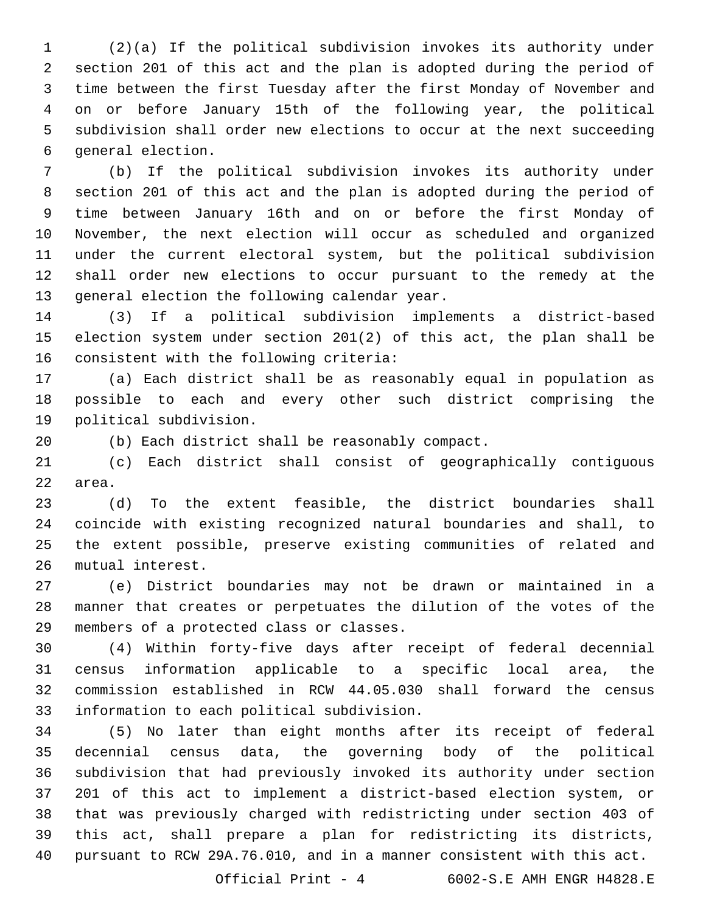(2)(a) If the political subdivision invokes its authority under section 201 of this act and the plan is adopted during the period of time between the first Tuesday after the first Monday of November and on or before January 15th of the following year, the political subdivision shall order new elections to occur at the next succeeding 6 general election.

 (b) If the political subdivision invokes its authority under section 201 of this act and the plan is adopted during the period of time between January 16th and on or before the first Monday of November, the next election will occur as scheduled and organized under the current electoral system, but the political subdivision shall order new elections to occur pursuant to the remedy at the 13 general election the following calendar year.

 (3) If a political subdivision implements a district-based election system under section 201(2) of this act, the plan shall be 16 consistent with the following criteria:

 (a) Each district shall be as reasonably equal in population as possible to each and every other such district comprising the 19 political subdivision.

(b) Each district shall be reasonably compact.

 (c) Each district shall consist of geographically contiguous 22 area.

 (d) To the extent feasible, the district boundaries shall coincide with existing recognized natural boundaries and shall, to the extent possible, preserve existing communities of related and 26 mutual interest.

 (e) District boundaries may not be drawn or maintained in a manner that creates or perpetuates the dilution of the votes of the 29 members of a protected class or classes.

 (4) Within forty-five days after receipt of federal decennial census information applicable to a specific local area, the commission established in RCW 44.05.030 shall forward the census 33 information to each political subdivision.

 (5) No later than eight months after its receipt of federal decennial census data, the governing body of the political subdivision that had previously invoked its authority under section 201 of this act to implement a district-based election system, or that was previously charged with redistricting under section 403 of this act, shall prepare a plan for redistricting its districts, pursuant to RCW 29A.76.010, and in a manner consistent with this act.

Official Print - 4 6002-S.E AMH ENGR H4828.E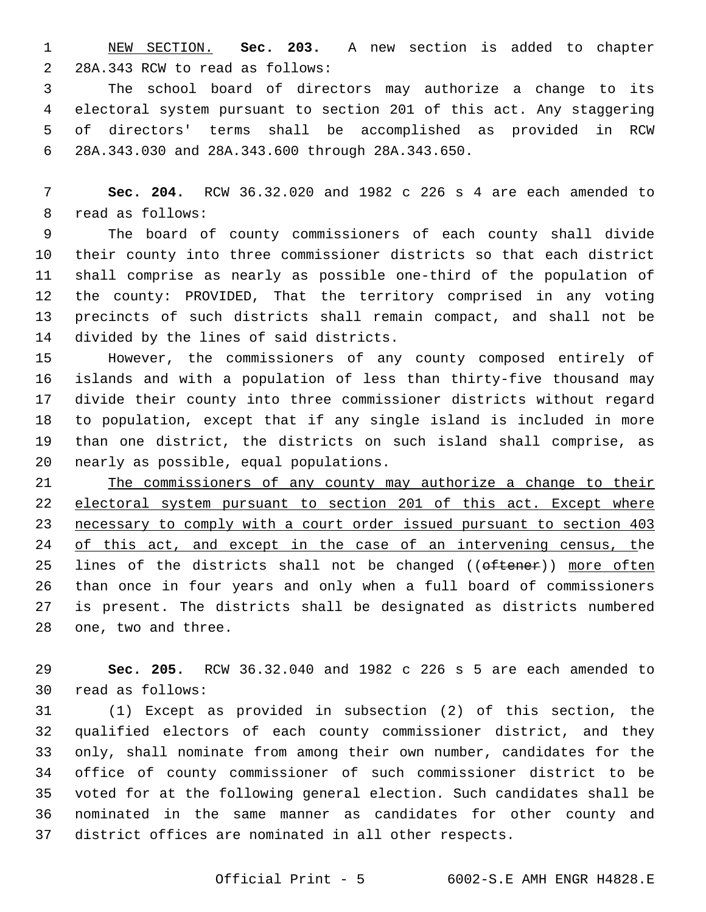NEW SECTION. **Sec. 203.** A new section is added to chapter 2 28A.343 RCW to read as follows:

 The school board of directors may authorize a change to its electoral system pursuant to section 201 of this act. Any staggering of directors' terms shall be accomplished as provided in RCW 28A.343.030 and 28A.343.600 through 28A.343.650.6

 **Sec. 204.** RCW 36.32.020 and 1982 c 226 s 4 are each amended to 8 read as follows:

 The board of county commissioners of each county shall divide their county into three commissioner districts so that each district shall comprise as nearly as possible one-third of the population of the county: PROVIDED, That the territory comprised in any voting precincts of such districts shall remain compact, and shall not be 14 divided by the lines of said districts.

 However, the commissioners of any county composed entirely of islands and with a population of less than thirty-five thousand may divide their county into three commissioner districts without regard to population, except that if any single island is included in more than one district, the districts on such island shall comprise, as 20 nearly as possible, equal populations.

 The commissioners of any county may authorize a change to their 22 electoral system pursuant to section 201 of this act. Except where necessary to comply with a court order issued pursuant to section 403 24 of this act, and except in the case of an intervening census, the 25 lines of the districts shall not be changed ((oftener)) more often than once in four years and only when a full board of commissioners is present. The districts shall be designated as districts numbered 28 one, two and three.

 **Sec. 205.** RCW 36.32.040 and 1982 c 226 s 5 are each amended to read as follows:30

 (1) Except as provided in subsection (2) of this section, the qualified electors of each county commissioner district, and they only, shall nominate from among their own number, candidates for the office of county commissioner of such commissioner district to be voted for at the following general election. Such candidates shall be nominated in the same manner as candidates for other county and district offices are nominated in all other respects.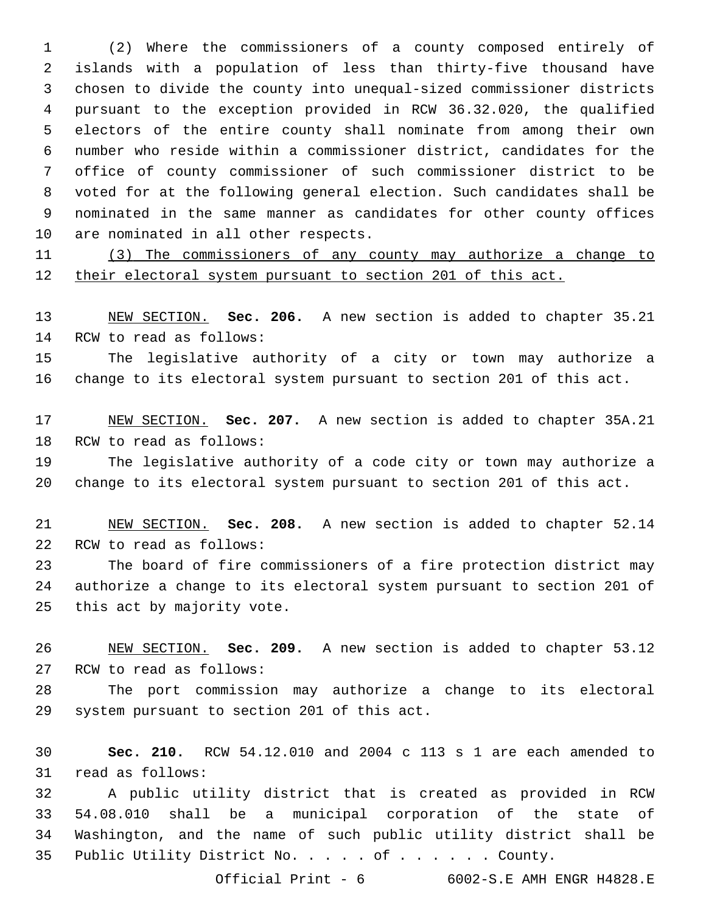(2) Where the commissioners of a county composed entirely of islands with a population of less than thirty-five thousand have chosen to divide the county into unequal-sized commissioner districts pursuant to the exception provided in RCW 36.32.020, the qualified electors of the entire county shall nominate from among their own number who reside within a commissioner district, candidates for the office of county commissioner of such commissioner district to be voted for at the following general election. Such candidates shall be nominated in the same manner as candidates for other county offices 10 are nominated in all other respects.

 (3) The commissioners of any county may authorize a change to their electoral system pursuant to section 201 of this act.

 NEW SECTION. **Sec. 206.** A new section is added to chapter 35.21 14 RCW to read as follows:

 The legislative authority of a city or town may authorize a change to its electoral system pursuant to section 201 of this act.

 NEW SECTION. **Sec. 207.** A new section is added to chapter 35A.21 18 RCW to read as follows:

 The legislative authority of a code city or town may authorize a change to its electoral system pursuant to section 201 of this act.

 NEW SECTION. **Sec. 208.** A new section is added to chapter 52.14 22 RCW to read as follows:

 The board of fire commissioners of a fire protection district may authorize a change to its electoral system pursuant to section 201 of 25 this act by majority vote.

 NEW SECTION. **Sec. 209.** A new section is added to chapter 53.12 27 RCW to read as follows:

 The port commission may authorize a change to its electoral 29 system pursuant to section 201 of this act.

 **Sec. 210.** RCW 54.12.010 and 2004 c 113 s 1 are each amended to 31 read as follows:

 A public utility district that is created as provided in RCW 54.08.010 shall be a municipal corporation of the state of Washington, and the name of such public utility district shall be 35 Public Utility District No. . . . of . . . . . . County.

Official Print - 6 6002-S.E AMH ENGR H4828.E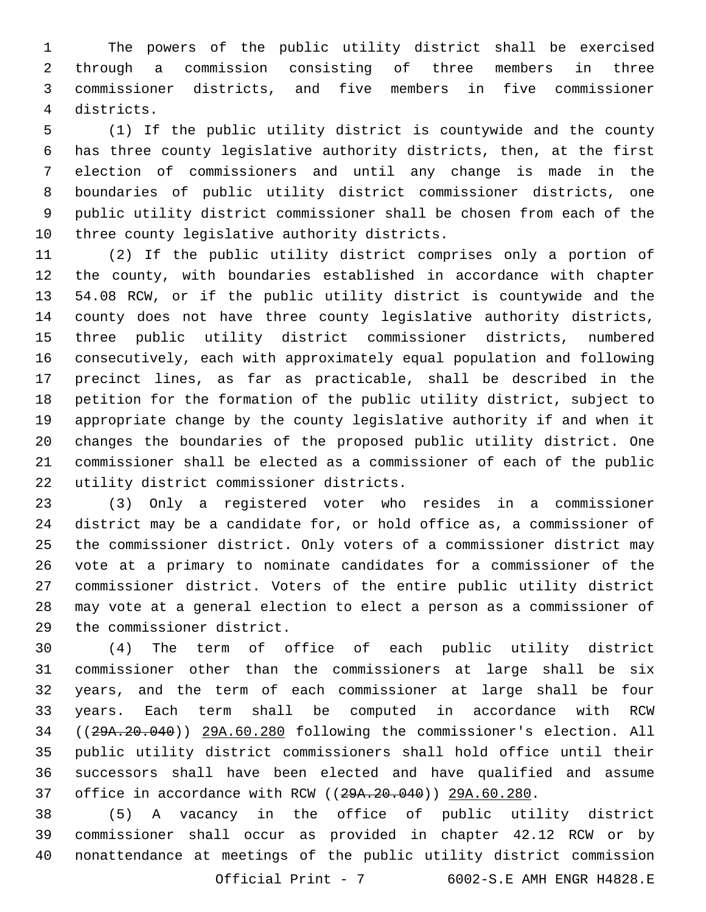The powers of the public utility district shall be exercised through a commission consisting of three members in three commissioner districts, and five members in five commissioner districts.4

 (1) If the public utility district is countywide and the county has three county legislative authority districts, then, at the first election of commissioners and until any change is made in the boundaries of public utility district commissioner districts, one public utility district commissioner shall be chosen from each of the 10 three county legislative authority districts.

 (2) If the public utility district comprises only a portion of the county, with boundaries established in accordance with chapter 54.08 RCW, or if the public utility district is countywide and the county does not have three county legislative authority districts, three public utility district commissioner districts, numbered consecutively, each with approximately equal population and following precinct lines, as far as practicable, shall be described in the petition for the formation of the public utility district, subject to appropriate change by the county legislative authority if and when it changes the boundaries of the proposed public utility district. One commissioner shall be elected as a commissioner of each of the public 22 utility district commissioner districts.

 (3) Only a registered voter who resides in a commissioner district may be a candidate for, or hold office as, a commissioner of the commissioner district. Only voters of a commissioner district may vote at a primary to nominate candidates for a commissioner of the commissioner district. Voters of the entire public utility district may vote at a general election to elect a person as a commissioner of 29 the commissioner district.

 (4) The term of office of each public utility district commissioner other than the commissioners at large shall be six years, and the term of each commissioner at large shall be four years. Each term shall be computed in accordance with RCW ((29A.20.040)) 29A.60.280 following the commissioner's election. All public utility district commissioners shall hold office until their successors shall have been elected and have qualified and assume office in accordance with RCW ((29A.20.040)) 29A.60.280.

 (5) A vacancy in the office of public utility district commissioner shall occur as provided in chapter 42.12 RCW or by nonattendance at meetings of the public utility district commission

Official Print - 7 6002-S.E AMH ENGR H4828.E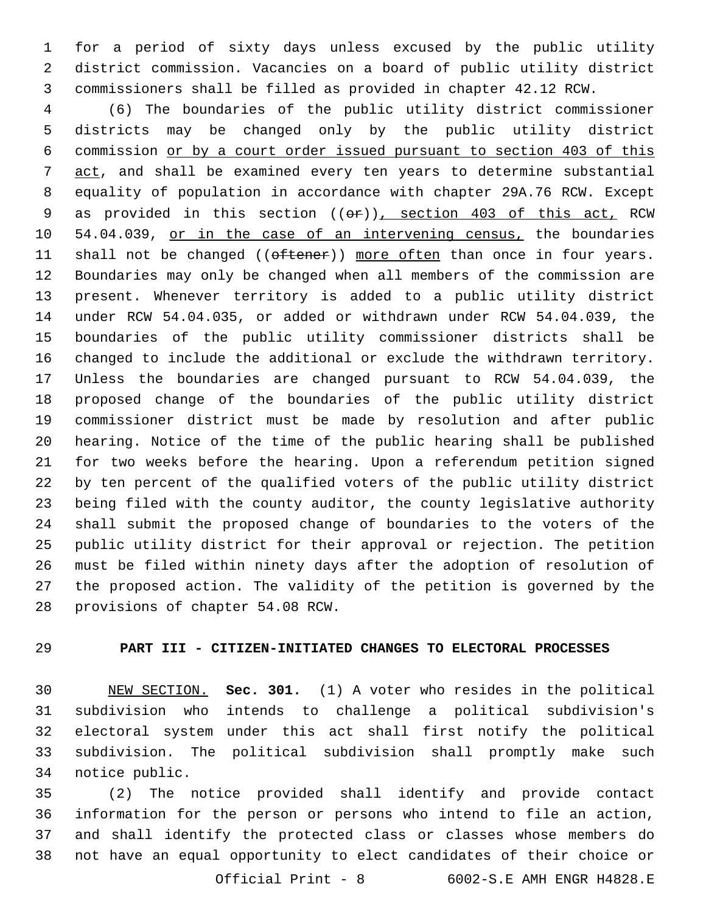for a period of sixty days unless excused by the public utility district commission. Vacancies on a board of public utility district commissioners shall be filled as provided in chapter 42.12 RCW.

 (6) The boundaries of the public utility district commissioner districts may be changed only by the public utility district commission or by a court order issued pursuant to section 403 of this 7 act, and shall be examined every ten years to determine substantial equality of population in accordance with chapter 29A.76 RCW. Except 9 as provided in this section (( $\Theta$ )), section 403 of this act, RCW 10 54.04.039, or in the case of an intervening census, the boundaries 11 shall not be changed ((oftener)) more often than once in four years. Boundaries may only be changed when all members of the commission are present. Whenever territory is added to a public utility district under RCW 54.04.035, or added or withdrawn under RCW 54.04.039, the boundaries of the public utility commissioner districts shall be changed to include the additional or exclude the withdrawn territory. Unless the boundaries are changed pursuant to RCW 54.04.039, the proposed change of the boundaries of the public utility district commissioner district must be made by resolution and after public hearing. Notice of the time of the public hearing shall be published for two weeks before the hearing. Upon a referendum petition signed by ten percent of the qualified voters of the public utility district being filed with the county auditor, the county legislative authority shall submit the proposed change of boundaries to the voters of the public utility district for their approval or rejection. The petition must be filed within ninety days after the adoption of resolution of the proposed action. The validity of the petition is governed by the 28 provisions of chapter 54.08 RCW.

# **PART III - CITIZEN-INITIATED CHANGES TO ELECTORAL PROCESSES**

 NEW SECTION. **Sec. 301.** (1) A voter who resides in the political subdivision who intends to challenge a political subdivision's electoral system under this act shall first notify the political subdivision. The political subdivision shall promptly make such notice public.

 (2) The notice provided shall identify and provide contact information for the person or persons who intend to file an action, and shall identify the protected class or classes whose members do not have an equal opportunity to elect candidates of their choice or

Official Print - 8 6002-S.E AMH ENGR H4828.E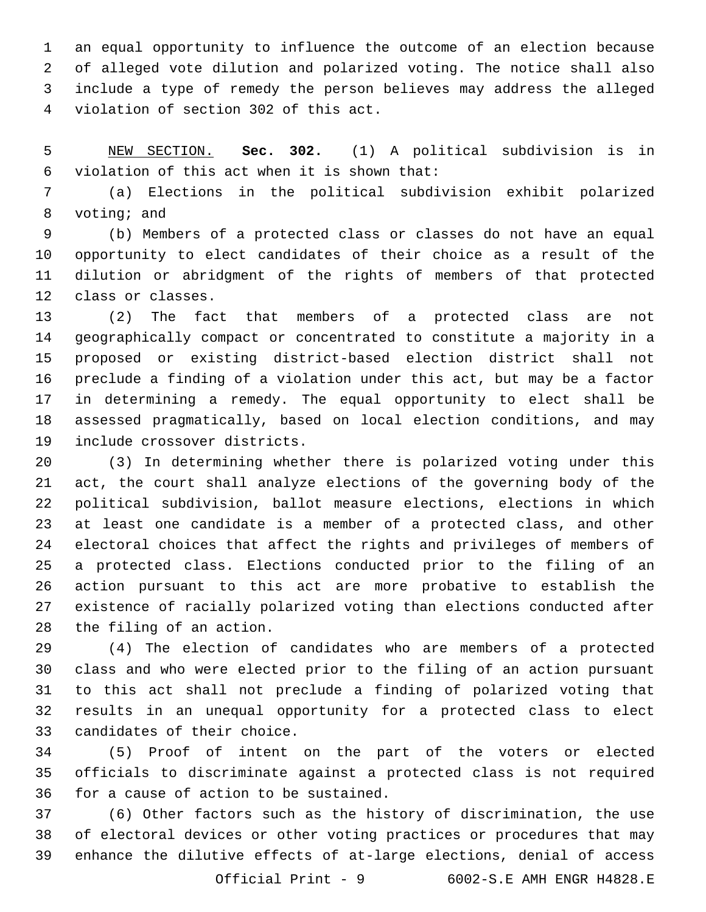an equal opportunity to influence the outcome of an election because of alleged vote dilution and polarized voting. The notice shall also include a type of remedy the person believes may address the alleged violation of section 302 of this act.4

 NEW SECTION. **Sec. 302.** (1) A political subdivision is in violation of this act when it is shown that:

 (a) Elections in the political subdivision exhibit polarized 8 voting; and

 (b) Members of a protected class or classes do not have an equal opportunity to elect candidates of their choice as a result of the dilution or abridgment of the rights of members of that protected 12 class or classes.

 (2) The fact that members of a protected class are not geographically compact or concentrated to constitute a majority in a proposed or existing district-based election district shall not preclude a finding of a violation under this act, but may be a factor in determining a remedy. The equal opportunity to elect shall be assessed pragmatically, based on local election conditions, and may 19 include crossover districts.

 (3) In determining whether there is polarized voting under this act, the court shall analyze elections of the governing body of the political subdivision, ballot measure elections, elections in which at least one candidate is a member of a protected class, and other electoral choices that affect the rights and privileges of members of a protected class. Elections conducted prior to the filing of an action pursuant to this act are more probative to establish the existence of racially polarized voting than elections conducted after 28 the filing of an action.

 (4) The election of candidates who are members of a protected class and who were elected prior to the filing of an action pursuant to this act shall not preclude a finding of polarized voting that results in an unequal opportunity for a protected class to elect 33 candidates of their choice.

 (5) Proof of intent on the part of the voters or elected officials to discriminate against a protected class is not required 36 for a cause of action to be sustained.

 (6) Other factors such as the history of discrimination, the use of electoral devices or other voting practices or procedures that may enhance the dilutive effects of at-large elections, denial of access

Official Print - 9 6002-S.E AMH ENGR H4828.E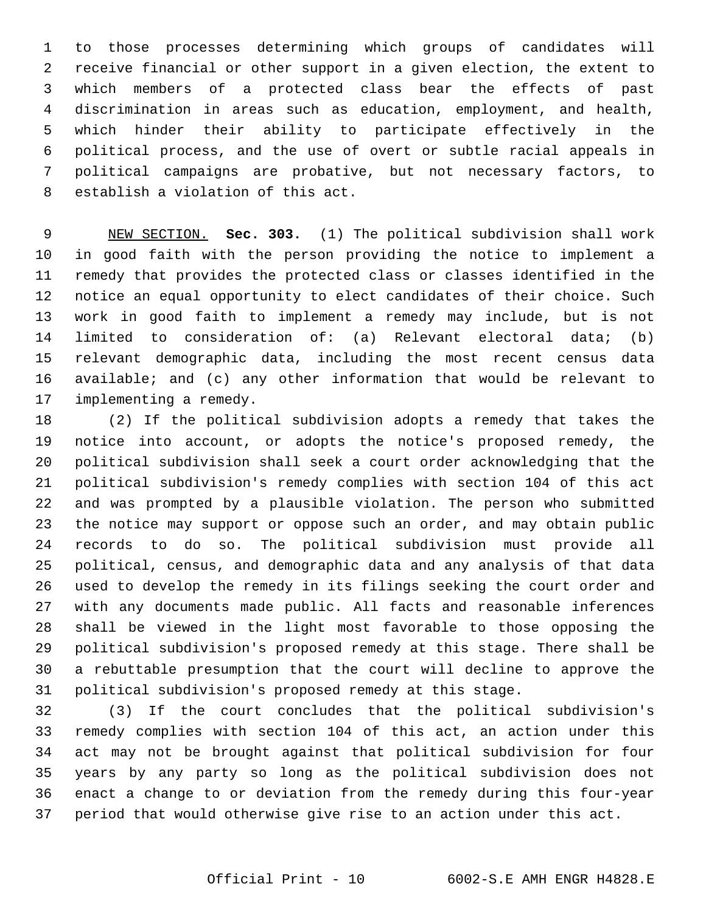to those processes determining which groups of candidates will receive financial or other support in a given election, the extent to which members of a protected class bear the effects of past discrimination in areas such as education, employment, and health, which hinder their ability to participate effectively in the political process, and the use of overt or subtle racial appeals in political campaigns are probative, but not necessary factors, to 8 establish a violation of this act.

 NEW SECTION. **Sec. 303.** (1) The political subdivision shall work in good faith with the person providing the notice to implement a remedy that provides the protected class or classes identified in the notice an equal opportunity to elect candidates of their choice. Such work in good faith to implement a remedy may include, but is not limited to consideration of: (a) Relevant electoral data; (b) relevant demographic data, including the most recent census data available; and (c) any other information that would be relevant to implementing a remedy.

 (2) If the political subdivision adopts a remedy that takes the notice into account, or adopts the notice's proposed remedy, the political subdivision shall seek a court order acknowledging that the political subdivision's remedy complies with section 104 of this act and was prompted by a plausible violation. The person who submitted the notice may support or oppose such an order, and may obtain public records to do so. The political subdivision must provide all political, census, and demographic data and any analysis of that data used to develop the remedy in its filings seeking the court order and with any documents made public. All facts and reasonable inferences shall be viewed in the light most favorable to those opposing the political subdivision's proposed remedy at this stage. There shall be a rebuttable presumption that the court will decline to approve the political subdivision's proposed remedy at this stage.

 (3) If the court concludes that the political subdivision's remedy complies with section 104 of this act, an action under this act may not be brought against that political subdivision for four years by any party so long as the political subdivision does not enact a change to or deviation from the remedy during this four-year period that would otherwise give rise to an action under this act.

### Official Print - 10 6002-S.E AMH ENGR H4828.E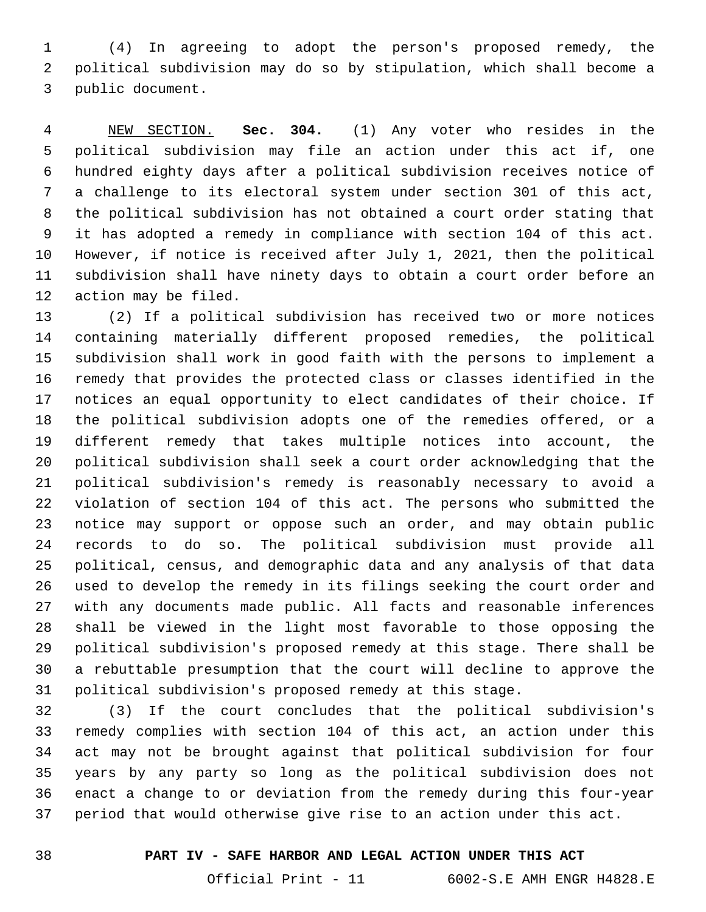(4) In agreeing to adopt the person's proposed remedy, the political subdivision may do so by stipulation, which shall become a 3 public document.

 NEW SECTION. **Sec. 304.** (1) Any voter who resides in the political subdivision may file an action under this act if, one hundred eighty days after a political subdivision receives notice of a challenge to its electoral system under section 301 of this act, the political subdivision has not obtained a court order stating that it has adopted a remedy in compliance with section 104 of this act. However, if notice is received after July 1, 2021, then the political subdivision shall have ninety days to obtain a court order before an action may be filed.

 (2) If a political subdivision has received two or more notices containing materially different proposed remedies, the political subdivision shall work in good faith with the persons to implement a remedy that provides the protected class or classes identified in the notices an equal opportunity to elect candidates of their choice. If the political subdivision adopts one of the remedies offered, or a different remedy that takes multiple notices into account, the political subdivision shall seek a court order acknowledging that the political subdivision's remedy is reasonably necessary to avoid a violation of section 104 of this act. The persons who submitted the notice may support or oppose such an order, and may obtain public records to do so. The political subdivision must provide all political, census, and demographic data and any analysis of that data used to develop the remedy in its filings seeking the court order and with any documents made public. All facts and reasonable inferences shall be viewed in the light most favorable to those opposing the political subdivision's proposed remedy at this stage. There shall be a rebuttable presumption that the court will decline to approve the political subdivision's proposed remedy at this stage.

 (3) If the court concludes that the political subdivision's remedy complies with section 104 of this act, an action under this act may not be brought against that political subdivision for four years by any party so long as the political subdivision does not enact a change to or deviation from the remedy during this four-year period that would otherwise give rise to an action under this act.

## **PART IV - SAFE HARBOR AND LEGAL ACTION UNDER THIS ACT**

Official Print - 11 6002-S.E AMH ENGR H4828.E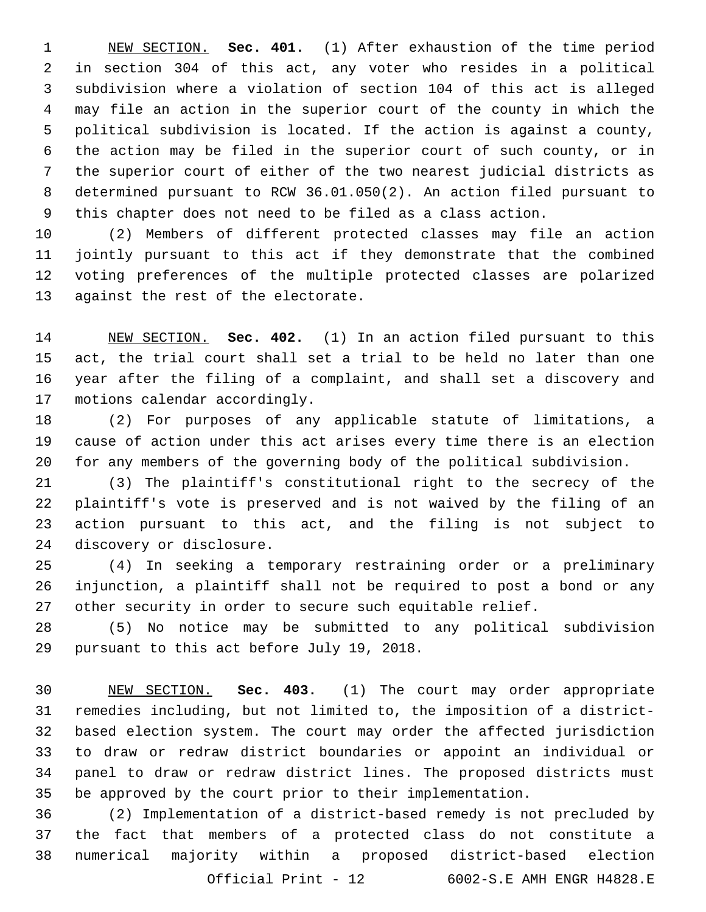NEW SECTION. **Sec. 401.** (1) After exhaustion of the time period in section 304 of this act, any voter who resides in a political subdivision where a violation of section 104 of this act is alleged may file an action in the superior court of the county in which the political subdivision is located. If the action is against a county, the action may be filed in the superior court of such county, or in the superior court of either of the two nearest judicial districts as determined pursuant to RCW 36.01.050(2). An action filed pursuant to this chapter does not need to be filed as a class action.

 (2) Members of different protected classes may file an action jointly pursuant to this act if they demonstrate that the combined voting preferences of the multiple protected classes are polarized 13 against the rest of the electorate.

 NEW SECTION. **Sec. 402.** (1) In an action filed pursuant to this act, the trial court shall set a trial to be held no later than one year after the filing of a complaint, and shall set a discovery and motions calendar accordingly.

 (2) For purposes of any applicable statute of limitations, a cause of action under this act arises every time there is an election for any members of the governing body of the political subdivision.

 (3) The plaintiff's constitutional right to the secrecy of the plaintiff's vote is preserved and is not waived by the filing of an action pursuant to this act, and the filing is not subject to 24 discovery or disclosure.

 (4) In seeking a temporary restraining order or a preliminary injunction, a plaintiff shall not be required to post a bond or any other security in order to secure such equitable relief.

 (5) No notice may be submitted to any political subdivision 29 pursuant to this act before July 19, 2018.

 NEW SECTION. **Sec. 403.** (1) The court may order appropriate remedies including, but not limited to, the imposition of a district- based election system. The court may order the affected jurisdiction to draw or redraw district boundaries or appoint an individual or panel to draw or redraw district lines. The proposed districts must be approved by the court prior to their implementation.

 (2) Implementation of a district-based remedy is not precluded by the fact that members of a protected class do not constitute a numerical majority within a proposed district-based election Official Print - 12 6002-S.E AMH ENGR H4828.E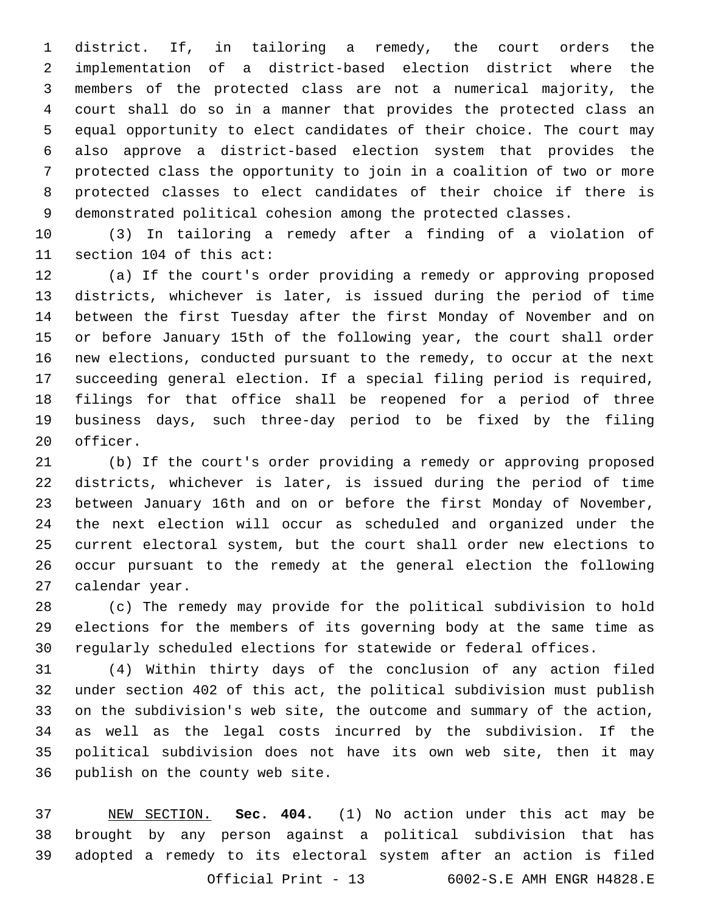district. If, in tailoring a remedy, the court orders the implementation of a district-based election district where the members of the protected class are not a numerical majority, the court shall do so in a manner that provides the protected class an equal opportunity to elect candidates of their choice. The court may also approve a district-based election system that provides the protected class the opportunity to join in a coalition of two or more protected classes to elect candidates of their choice if there is demonstrated political cohesion among the protected classes.

 (3) In tailoring a remedy after a finding of a violation of 11 section 104 of this act:

 (a) If the court's order providing a remedy or approving proposed districts, whichever is later, is issued during the period of time between the first Tuesday after the first Monday of November and on or before January 15th of the following year, the court shall order new elections, conducted pursuant to the remedy, to occur at the next succeeding general election. If a special filing period is required, filings for that office shall be reopened for a period of three business days, such three-day period to be fixed by the filing 20 officer.

 (b) If the court's order providing a remedy or approving proposed districts, whichever is later, is issued during the period of time between January 16th and on or before the first Monday of November, the next election will occur as scheduled and organized under the current electoral system, but the court shall order new elections to occur pursuant to the remedy at the general election the following 27 calendar year.

 (c) The remedy may provide for the political subdivision to hold elections for the members of its governing body at the same time as regularly scheduled elections for statewide or federal offices.

 (4) Within thirty days of the conclusion of any action filed under section 402 of this act, the political subdivision must publish on the subdivision's web site, the outcome and summary of the action, as well as the legal costs incurred by the subdivision. If the political subdivision does not have its own web site, then it may 36 publish on the county web site.

 NEW SECTION. **Sec. 404.** (1) No action under this act may be brought by any person against a political subdivision that has adopted a remedy to its electoral system after an action is filed Official Print - 13 6002-S.E AMH ENGR H4828.E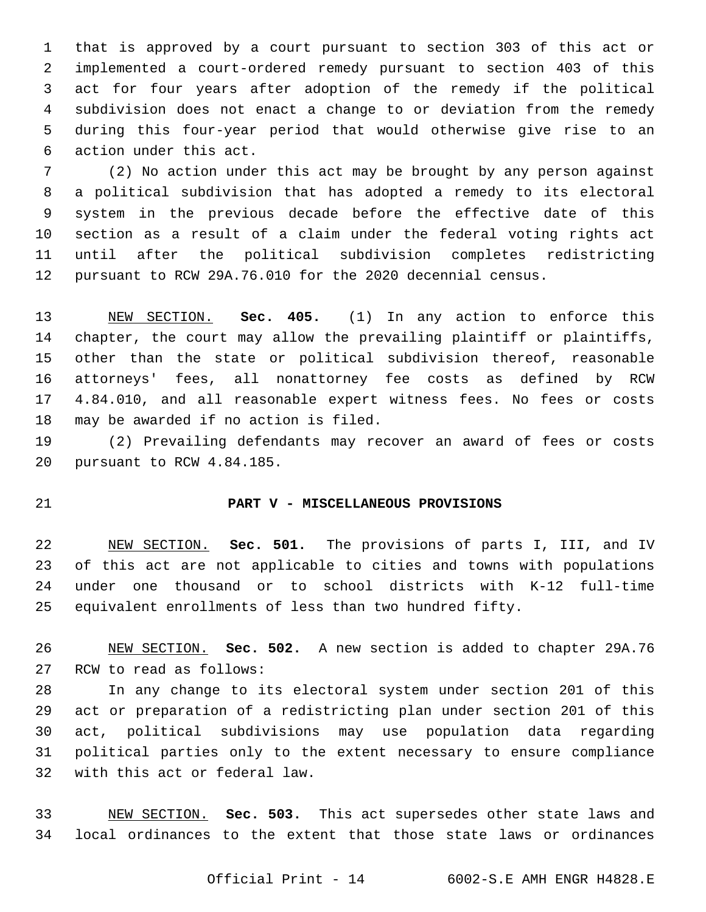that is approved by a court pursuant to section 303 of this act or implemented a court-ordered remedy pursuant to section 403 of this act for four years after adoption of the remedy if the political subdivision does not enact a change to or deviation from the remedy during this four-year period that would otherwise give rise to an 6 action under this act.

 (2) No action under this act may be brought by any person against a political subdivision that has adopted a remedy to its electoral system in the previous decade before the effective date of this section as a result of a claim under the federal voting rights act until after the political subdivision completes redistricting pursuant to RCW 29A.76.010 for the 2020 decennial census.

 NEW SECTION. **Sec. 405.** (1) In any action to enforce this chapter, the court may allow the prevailing plaintiff or plaintiffs, other than the state or political subdivision thereof, reasonable attorneys' fees, all nonattorney fee costs as defined by RCW 4.84.010, and all reasonable expert witness fees. No fees or costs may be awarded if no action is filed.

 (2) Prevailing defendants may recover an award of fees or costs 20 pursuant to RCW 4.84.185.

## **PART V - MISCELLANEOUS PROVISIONS**

 NEW SECTION. **Sec. 501.** The provisions of parts I, III, and IV of this act are not applicable to cities and towns with populations under one thousand or to school districts with K-12 full-time equivalent enrollments of less than two hundred fifty.

 NEW SECTION. **Sec. 502.** A new section is added to chapter 29A.76 27 RCW to read as follows:

 In any change to its electoral system under section 201 of this act or preparation of a redistricting plan under section 201 of this act, political subdivisions may use population data regarding political parties only to the extent necessary to ensure compliance 32 with this act or federal law.

 NEW SECTION. **Sec. 503.** This act supersedes other state laws and local ordinances to the extent that those state laws or ordinances